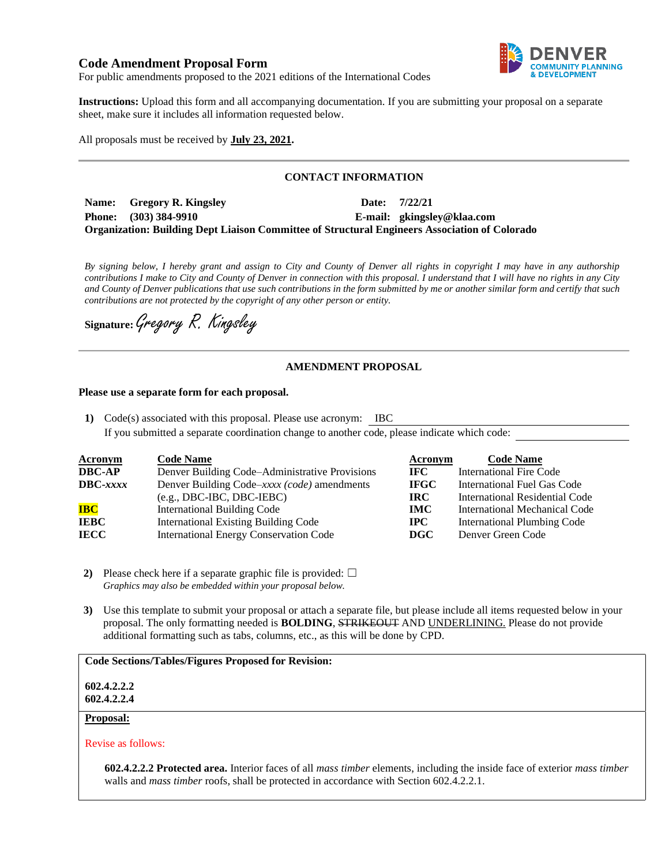# **Code Amendment Proposal Form**



For public amendments proposed to the 2021 editions of the International Codes

**Instructions:** Upload this form and all accompanying documentation. If you are submitting your proposal on a separate sheet, make sure it includes all information requested below.

All proposals must be received by **July 23, 2021.**

## **CONTACT INFORMATION**

**Name: Gregory R. Kingsley Date: 7/22/21 Phone: (303) 384-9910 E-mail: gkingsley@klaa.com Organization: Building Dept Liaison Committee of Structural Engineers Association of Colorado**

*By signing below, I hereby grant and assign to City and County of Denver all rights in copyright I may have in any authorship contributions I make to City and County of Denver in connection with this proposal. I understand that I will have no rights in any City and County of Denver publications that use such contributions in the form submitted by me or another similar form and certify that such contributions are not protected by the copyright of any other person or entity.* 

**Signature:**Gregory R. Kingsley

## **AMENDMENT PROPOSAL**

#### **Please use a separate form for each proposal.**

**1)** Code(s) associated with this proposal. Please use acronym: IBC If you submitted a separate coordination change to another code, please indicate which code:

| <b>Acronym</b>    | <b>Code Name</b>                               | Acronym      | <b>Code Name</b>                   |
|-------------------|------------------------------------------------|--------------|------------------------------------|
| <b>DBC-AP</b>     | Denver Building Code–Administrative Provisions | IFC.         | International Fire Code            |
| $\text{DBC-}xxxx$ | Denver Building Code–xxxx (code) amendments    | <b>IFGC</b>  | International Fuel Gas Code        |
|                   | $(e.g., DBC-IBC, DBC-IEBC)$                    | IRC.         | International Residential Code     |
| <b>IBC</b>        | <b>International Building Code</b>             | <b>IMC</b>   | International Mechanical Code      |
| <b>IEBC</b>       | <b>International Existing Building Code</b>    | $_{\rm IPC}$ | <b>International Plumbing Code</b> |
| <b>IECC</b>       | <b>International Energy Conservation Code</b>  | DGC          | Denver Green Code                  |

- **2)** Please check here if a separate graphic file is provided:  $\Box$ *Graphics may also be embedded within your proposal below.*
- **3)** Use this template to submit your proposal or attach a separate file, but please include all items requested below in your proposal. The only formatting needed is **BOLDING**, STRIKEOUT AND UNDERLINING. Please do not provide additional formatting such as tabs, columns, etc., as this will be done by CPD.

#### **Code Sections/Tables/Figures Proposed for Revision:**

**602.4.2.2.2 602.4.2.2.4**

#### **Proposal:**

Revise as follows:

**602.4.2.2.2 Protected area.** Interior faces of all *mass timber* elements, including the inside face of exterior *mass timber* walls and *mass timber* roofs, shall be protected in accordance with Section 602.4.2.2.1.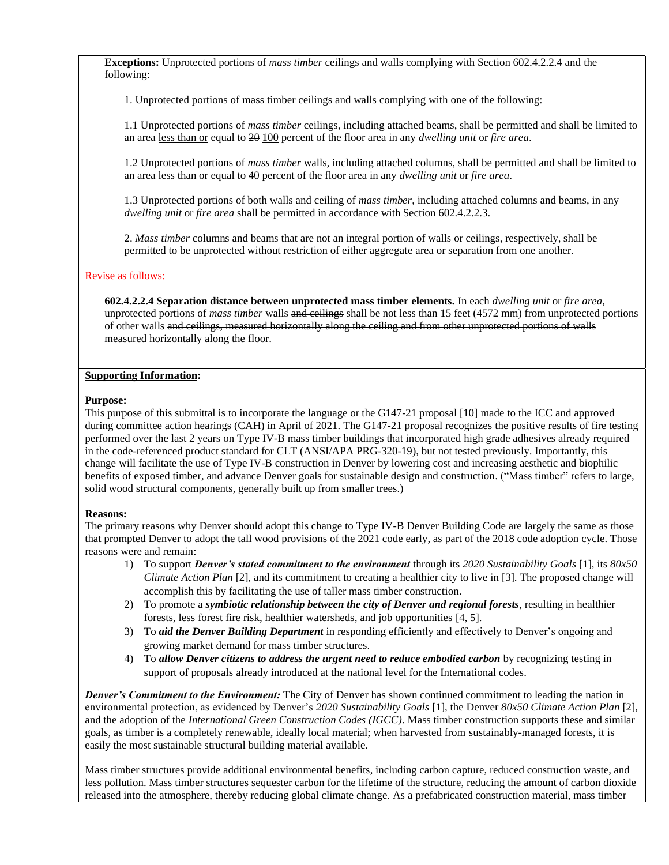**Exceptions:** Unprotected portions of *mass timber* ceilings and walls complying with Section 602.4.2.2.4 and the following:

1. Unprotected portions of mass timber ceilings and walls complying with one of the following:

1.1 Unprotected portions of *mass timber* ceilings, including attached beams, shall be permitted and shall be limited to an area less than or equal to 20 100 percent of the floor area in any *dwelling unit* or *fire area*.

1.2 Unprotected portions of *mass timber* walls, including attached columns, shall be permitted and shall be limited to an area less than or equal to 40 percent of the floor area in any *dwelling unit* or *fire area*.

1.3 Unprotected portions of both walls and ceiling of *mass timber*, including attached columns and beams, in any *dwelling unit* or *fire area* shall be permitted in accordance with Section 602.4.2.2.3.

2. *Mass timber* columns and beams that are not an integral portion of walls or ceilings, respectively, shall be permitted to be unprotected without restriction of either aggregate area or separation from one another.

#### Revise as follows:

**602.4.2.2.4 Separation distance between unprotected mass timber elements.** In each *dwelling unit* or *fire area*, unprotected portions of *mass timber* walls and ceilings shall be not less than 15 feet (4572 mm) from unprotected portions of other walls and ceilings, measured horizontally along the ceiling and from other unprotected portions of walls measured horizontally along the floor.

### **Supporting Information:**

### **Purpose:**

This purpose of this submittal is to incorporate the language or the G147-21 proposal [10] made to the ICC and approved during committee action hearings (CAH) in April of 2021. The G147-21 proposal recognizes the positive results of fire testing performed over the last 2 years on Type IV-B mass timber buildings that incorporated high grade adhesives already required in the code-referenced product standard for CLT (ANSI/APA PRG-320-19), but not tested previously. Importantly, this change will facilitate the use of Type IV-B construction in Denver by lowering cost and increasing aesthetic and biophilic benefits of exposed timber, and advance Denver goals for sustainable design and construction. ("Mass timber" refers to large, solid wood structural components, generally built up from smaller trees.)

## **Reasons:**

The primary reasons why Denver should adopt this change to Type IV-B Denver Building Code are largely the same as those that prompted Denver to adopt the tall wood provisions of the 2021 code early, as part of the 2018 code adoption cycle. Those reasons were and remain:

- 1) To support *Denver's stated commitment to the environment* through its *2020 Sustainability Goals* [1], its *80x50 Climate Action Plan* [2], and its commitment to creating a healthier city to live in [3]. The proposed change will accomplish this by facilitating the use of taller mass timber construction.
- 2) To promote a *symbiotic relationship between the city of Denver and regional forests*, resulting in healthier forests, less forest fire risk, healthier watersheds, and job opportunities [4, 5].
- 3) To *aid the Denver Building Department* in responding efficiently and effectively to Denver's ongoing and growing market demand for mass timber structures.
- 4) To *allow Denver citizens to address the urgent need to reduce embodied carbon* by recognizing testing in support of proposals already introduced at the national level for the International codes.

*Denver's Commitment to the Environment:* The City of Denver has shown continued commitment to leading the nation in environmental protection, as evidenced by Denver's *2020 Sustainability Goals* [1], the Denver *80x50 Climate Action Plan* [2], and the adoption of the *International Green Construction Codes (IGCC)*. Mass timber construction supports these and similar goals, as timber is a completely renewable, ideally local material; when harvested from sustainably-managed forests, it is easily the most sustainable structural building material available.

Mass timber structures provide additional environmental benefits, including carbon capture, reduced construction waste, and less pollution. Mass timber structures sequester carbon for the lifetime of the structure, reducing the amount of carbon dioxide released into the atmosphere, thereby reducing global climate change. As a prefabricated construction material, mass timber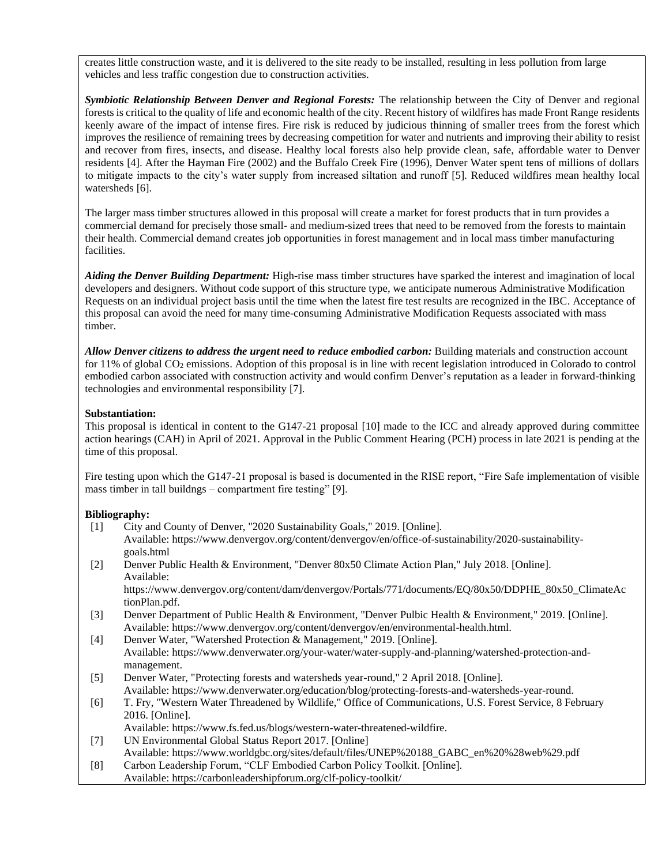creates little construction waste, and it is delivered to the site ready to be installed, resulting in less pollution from large vehicles and less traffic congestion due to construction activities.

*Symbiotic Relationship Between Denver and Regional Forests:* The relationship between the City of Denver and regional forests is critical to the quality of life and economic health of the city. Recent history of wildfires has made Front Range residents keenly aware of the impact of intense fires. Fire risk is reduced by judicious thinning of smaller trees from the forest which improves the resilience of remaining trees by decreasing competition for water and nutrients and improving their ability to resist and recover from fires, insects, and disease. Healthy local forests also help provide clean, safe, affordable water to Denver residents [4]. After the Hayman Fire (2002) and the Buffalo Creek Fire (1996), Denver Water spent tens of millions of dollars to mitigate impacts to the city's water supply from increased siltation and runoff [5]. Reduced wildfires mean healthy local watersheds [6].

The larger mass timber structures allowed in this proposal will create a market for forest products that in turn provides a commercial demand for precisely those small- and medium-sized trees that need to be removed from the forests to maintain their health. Commercial demand creates job opportunities in forest management and in local mass timber manufacturing facilities.

*Aiding the Denver Building Department:* High-rise mass timber structures have sparked the interest and imagination of local developers and designers. Without code support of this structure type, we anticipate numerous Administrative Modification Requests on an individual project basis until the time when the latest fire test results are recognized in the IBC. Acceptance of this proposal can avoid the need for many time-consuming Administrative Modification Requests associated with mass timber.

*Allow Denver citizens to address the urgent need to reduce embodied carbon:* Building materials and construction account for 11% of global  $CO<sub>2</sub>$  emissions. Adoption of this proposal is in line with recent legislation introduced in Colorado to control embodied carbon associated with construction activity and would confirm Denver's reputation as a leader in forward-thinking technologies and environmental responsibility [7].

## **Substantiation:**

This proposal is identical in content to the G147-21 proposal [10] made to the ICC and already approved during committee action hearings (CAH) in April of 2021. Approval in the Public Comment Hearing (PCH) process in late 2021 is pending at the time of this proposal.

Fire testing upon which the G147-21 proposal is based is documented in the RISE report, "Fire Safe implementation of visible mass timber in tall buildngs – compartment fire testing" [9].

## **Bibliography:**

- [1] City and County of Denver, "2020 Sustainability Goals," 2019. [Online]. Available: https://www.denvergov.org/content/denvergov/en/office-of-sustainability/2020-sustainabilitygoals.html
- [2] Denver Public Health & Environment, "Denver 80x50 Climate Action Plan," July 2018. [Online]. Available:

https://www.denvergov.org/content/dam/denvergov/Portals/771/documents/EQ/80x50/DDPHE\_80x50\_ClimateAc tionPlan.pdf.

- [3] Denver Department of Public Health & Environment, "Denver Pulbic Health & Environment," 2019. [Online]. Available: https://www.denvergov.org/content/denvergov/en/environmental-health.html.
- [4] Denver Water, "Watershed Protection & Management," 2019. [Online]. Available: https://www.denverwater.org/your-water/water-supply-and-planning/watershed-protection-andmanagement.
- [5] Denver Water, "Protecting forests and watersheds year-round," 2 April 2018. [Online]. Available: https://www.denverwater.org/education/blog/protecting-forests-and-watersheds-year-round.
- [6] T. Fry, "Western Water Threadened by Wildlife," Office of Communications, U.S. Forest Service, 8 February 2016. [Online].

Available: https://www.fs.fed.us/blogs/western-water-threatened-wildfire.

- [7] UN Environmental Global Status Report 2017. [Online]
- Available: https://www.worldgbc.org/sites/default/files/UNEP%20188\_GABC\_en%20%28web%29.pdf [8] Carbon Leadership Forum, "CLF Embodied Carbon Policy Toolkit. [Online]. Available: https://carbonleadershipforum.org/clf-policy-toolkit/